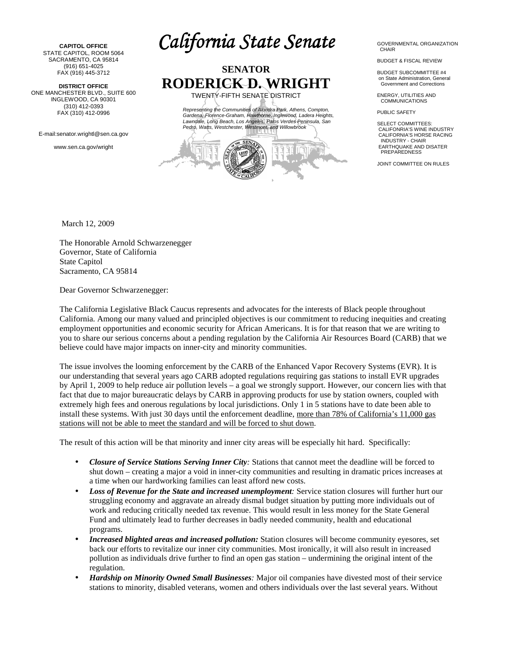**CAPITOL OFFICE**  STATE CAPITOL, ROOM 5064 SACRAMENTO, CA 95814 (916) 651-4025 FAX (916) 445-3712

 **DISTRICT OFFICE**  ONE MANCHESTER BLVD., SUITE 600 INGLEWOOD, CA 90301 (310) 412-0393 FAX (310) 412-0996

E-mail:senator.wrightl@sen.ca.gov

www.sen.ca.gov/wright

*California State Senate*



GOVERNMENTAL ORGANIZATION **CHAIR** 

BUDGET & FISCAL REVIEW

BUDGET SUBCOMMITTEE #4 on State Administration, General Government and Corrections

ENERGY, UTILITIES AND **COMMUNICATIONS** 

PUBLIC SAFFTY

SELECT COMMITTEES: CALIFONRIA'S WINE INDUSTRY CALIFORNIA'S HORSE RACING INDUSTRY - CHAIR EARTHQUAKE AND DISATER PREPAREDNESS

JOINT COMMITTEE ON RULES

March 12, 2009

The Honorable Arnold Schwarzenegger Governor, State of California State Capitol Sacramento, CA 95814

Dear Governor Schwarzenegger:

The California Legislative Black Caucus represents and advocates for the interests of Black people throughout California. Among our many valued and principled objectives is our commitment to reducing inequities and creating employment opportunities and economic security for African Americans. It is for that reason that we are writing to you to share our serious concerns about a pending regulation by the California Air Resources Board (CARB) that we believe could have major impacts on inner-city and minority communities.

The issue involves the looming enforcement by the CARB of the Enhanced Vapor Recovery Systems (EVR). It is our understanding that several years ago CARB adopted regulations requiring gas stations to install EVR upgrades by April 1, 2009 to help reduce air pollution levels – a goal we strongly support. However, our concern lies with that fact that due to major bureaucratic delays by CARB in approving products for use by station owners, coupled with extremely high fees and onerous regulations by local jurisdictions. Only 1 in 5 stations have to date been able to install these systems. With just 30 days until the enforcement deadline, more than 78% of California's 11,000 gas stations will not be able to meet the standard and will be forced to shut down.

The result of this action will be that minority and inner city areas will be especially hit hard. Specifically:

- *Closure of Service Stations Serving Inner City:* Stations that cannot meet the deadline will be forced to shut down – creating a major a void in inner-city communities and resulting in dramatic prices increases at a time when our hardworking families can least afford new costs.
- *Loss of Revenue for the State and increased unemployment:* Service station closures will further hurt our struggling economy and aggravate an already dismal budget situation by putting more individuals out of work and reducing critically needed tax revenue. This would result in less money for the State General Fund and ultimately lead to further decreases in badly needed community, health and educational programs.
- *Increased blighted areas and increased pollution:* Station closures will become community eyesores, set back our efforts to revitalize our inner city communities. Most ironically, it will also result in increased pollution as individuals drive further to find an open gas station – undermining the original intent of the regulation.
- *Hardship on Minority Owned Small Businesses:* Major oil companies have divested most of their service stations to minority, disabled veterans, women and others individuals over the last several years. Without